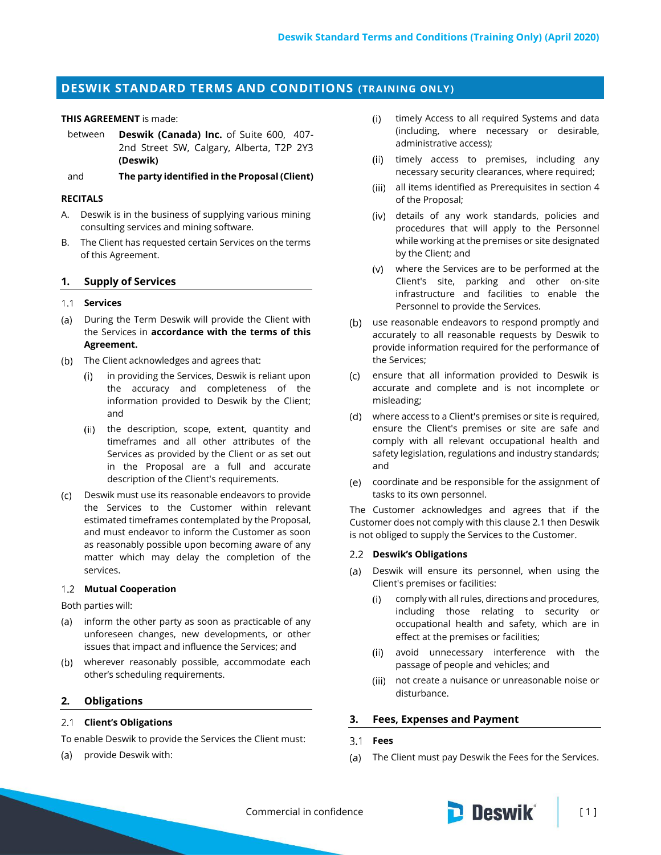# **DESWIK STANDARD TERMS AND CONDITIONS (TRAINING ONLY)**

#### **THIS AGREEMENT** is made:

between **Deswik (Canada) Inc.** of Suite 600, 407- 2nd Street SW, Calgary, Alberta, T2P 2Y3 **(Deswik)**

and **The party identified in the Proposal (Client)**

#### **RECITALS**

- A. Deswik is in the business of supplying various mining consulting services and mining software.
- B. The Client has requested certain Services on the terms of this Agreement.

#### **1. Supply of Services**

# **Services**

- (a) During the Term Deswik will provide the Client with the Services in **accordance with the terms of this Agreement.**
- (b) The Client acknowledges and agrees that:
	- in providing the Services, Deswik is reliant upon  $(i)$ the accuracy and completeness of the information provided to Deswik by the Client; and
	- (ii) the description, scope, extent, quantity and timeframes and all other attributes of the Services as provided by the Client or as set out in the Proposal are a full and accurate description of the Client's requirements.
- Deswik must use its reasonable endeavors to provide the Services to the Customer within relevant estimated timeframes contemplated by the Proposal, and must endeavor to inform the Customer as soon as reasonably possible upon becoming aware of any matter which may delay the completion of the services.

#### **Mutual Cooperation**

Both parties will:

- (a) inform the other party as soon as practicable of any unforeseen changes, new developments, or other issues that impact and influence the Services; and
- wherever reasonably possible, accommodate each other's scheduling requirements.

#### **2. Obligations**

#### <span id="page-0-0"></span>**Client's Obligations**

To enable Deswik to provide the Services the Client must:

(a) provide Deswik with:

- $(i)$ timely Access to all required Systems and data (including, where necessary or desirable, administrative access);
- (ii) timely access to premises, including any necessary security clearances, where required;
- (iii) all items identified as Prerequisites in section 4 of the Proposal;
- details of any work standards, policies and procedures that will apply to the Personnel while working at the premises or site designated by the Client; and
- where the Services are to be performed at the Client's site, parking and other on-site infrastructure and facilities to enable the Personnel to provide the Services.
- (b) use reasonable endeavors to respond promptly and accurately to all reasonable requests by Deswik to provide information required for the performance of the Services;
- ensure that all information provided to Deswik is accurate and complete and is not incomplete or misleading;
- where access to a Client's premises or site is required, ensure the Client's premises or site are safe and comply with all relevant occupational health and safety legislation, regulations and industry standards; and
- coordinate and be responsible for the assignment of tasks to its own personnel.

The Customer acknowledges and agrees that if the Customer does not comply with this claus[e 2.1](#page-0-0) then Deswik is not obliged to supply the Services to the Customer.

#### **Deswik's Obligations**

- (a) Deswik will ensure its personnel, when using the Client's premises or facilities:
	- comply with all rules, directions and procedures,  $(i)$ including those relating to security or occupational health and safety, which are in effect at the premises or facilities;
	- avoid unnecessary interference with the  $(iii)$ passage of people and vehicles; and
	- (iii) not create a nuisance or unreasonable noise or disturbance.

#### **3. Fees, Expenses and Payment**

#### $3.1$ **Fees**

(a) The Client must pay Deswik the Fees for the Services.

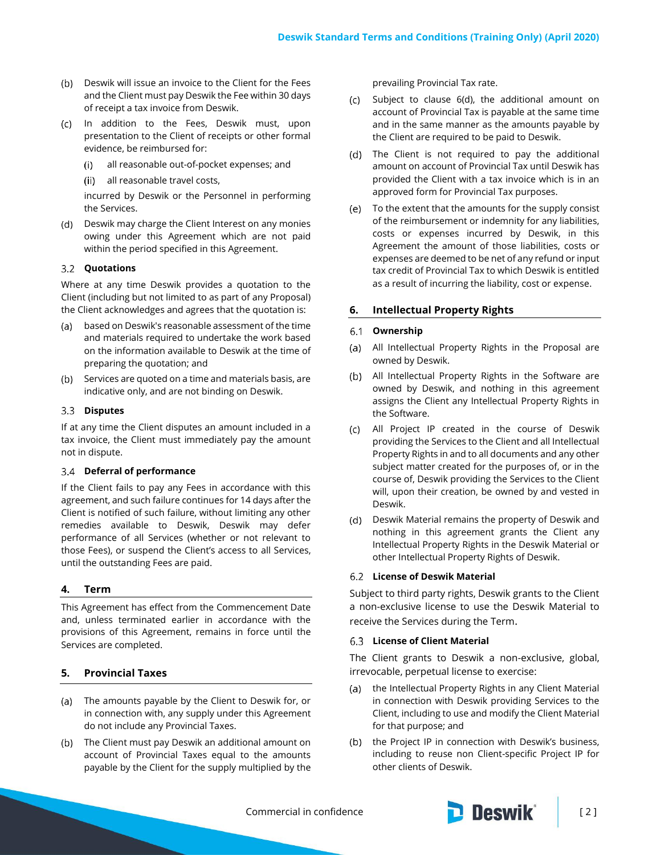- (b) Deswik will issue an invoice to the Client for the Fees and the Client must pay Deswik the Fee within 30 days of receipt a tax invoice from Deswik.
- (c) In addition to the Fees, Deswik must, upon presentation to the Client of receipts or other formal evidence, be reimbursed for:
	- all reasonable out-of-pocket expenses; and  $(i)$
	- all reasonable travel costs,

incurred by Deswik or the Personnel in performing the Services.

(d) Deswik may charge the Client Interest on any monies owing under this Agreement which are not paid within the period specified in this Agreement.

#### **Quotations**

Where at any time Deswik provides a quotation to the Client (including but not limited to as part of any Proposal) the Client acknowledges and agrees that the quotation is:

- based on Deswik's reasonable assessment of the time and materials required to undertake the work based on the information available to Deswik at the time of preparing the quotation; and
- (b) Services are quoted on a time and materials basis, are indicative only, and are not binding on Deswik.

#### **Disputes**

If at any time the Client disputes an amount included in a tax invoice, the Client must immediately pay the amount not in dispute.

## **Deferral of performance**

If the Client fails to pay any Fees in accordance with this agreement, and such failure continues for 14 days after the Client is notified of such failure, without limiting any other remedies available to Deswik, Deswik may defer performance of all Services (whether or not relevant to those Fees), or suspend the Client's access to all Services, until the outstanding Fees are paid.

## **4. Term**

This Agreement has effect from the Commencement Date and, unless terminated earlier in accordance with the provisions of this Agreement, remains in force until the Services are completed.

## **5. Provincial Taxes**

- (a) The amounts payable by the Client to Deswik for, or in connection with, any supply under this Agreement do not include any Provincial Taxes.
- (b) The Client must pay Deswik an additional amount on account of Provincial Taxes equal to the amounts payable by the Client for the supply multiplied by the

prevailing Provincial Tax rate.

- $(c)$  Subject to clause  $6(d)$ , the additional amount on account of Provincial Tax is payable at the same time and in the same manner as the amounts payable by the Client are required to be paid to Deswik.
- (d) The Client is not required to pay the additional amount on account of Provincial Tax until Deswik has provided the Client with a tax invoice which is in an approved form for Provincial Tax purposes.
- To the extent that the amounts for the supply consist of the reimbursement or indemnity for any liabilities, costs or expenses incurred by Deswik, in this Agreement the amount of those liabilities, costs or expenses are deemed to be net of any refund or input tax credit of Provincial Tax to which Deswik is entitled as a result of incurring the liability, cost or expense.

## **6. Intellectual Property Rights**

#### **Ownership**

- All Intellectual Property Rights in the Proposal are owned by Deswik.
- (b) All Intellectual Property Rights in the Software are owned by Deswik, and nothing in this agreement assigns the Client any Intellectual Property Rights in the Software.
- All Project IP created in the course of Deswik providing the Services to the Client and all Intellectual Property Rights in and to all documents and any other subject matter created for the purposes of, or in the course of, Deswik providing the Services to the Client will, upon their creation, be owned by and vested in Deswik.
- (d) Deswik Material remains the property of Deswik and nothing in this agreement grants the Client any Intellectual Property Rights in the Deswik Material or other Intellectual Property Rights of Deswik.

## **License of Deswik Material**

Subject to third party rights, Deswik grants to the Client a non-exclusive license to use the Deswik Material to receive the Services during the Term.

#### **License of Client Material**

The Client grants to Deswik a non-exclusive, global, irrevocable, perpetual license to exercise:

- (a) the Intellectual Property Rights in any Client Material in connection with Deswik providing Services to the Client, including to use and modify the Client Material for that purpose; and
- the Project IP in connection with Deswik's business,  $(b)$ including to reuse non Client-specific Project IP for other clients of Deswik.

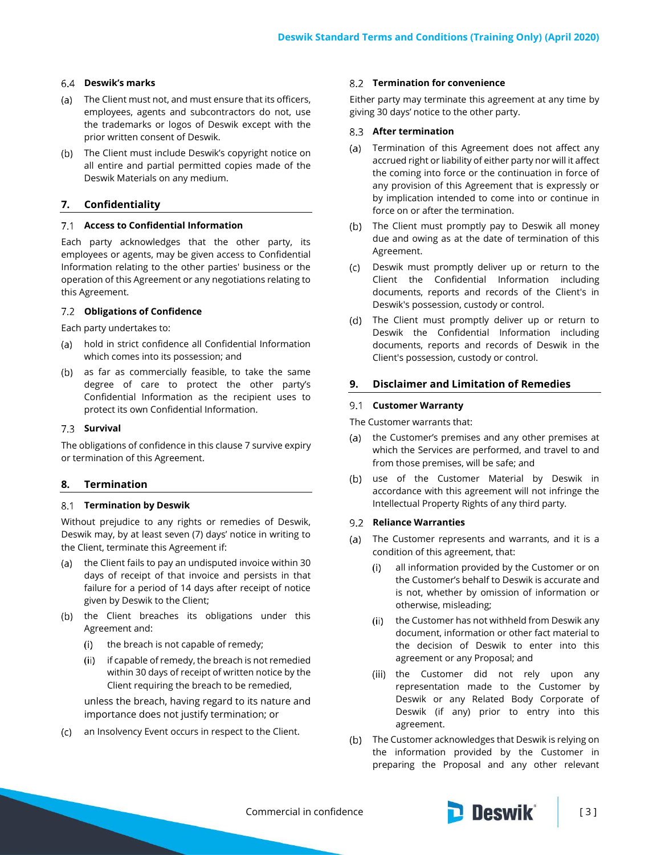## **Deswik's marks**

- The Client must not, and must ensure that its officers, employees, agents and subcontractors do not, use the trademarks or logos of Deswik except with the prior written consent of Deswik.
- (b) The Client must include Deswik's copyright notice on all entire and partial permitted copies made of the Deswik Materials on any medium.

# <span id="page-2-0"></span>**7. Confidentiality**

## **Access to Confidential Information**

Each party acknowledges that the other party, its employees or agents, may be given access to Confidential Information relating to the other parties' business or the operation of this Agreement or any negotiations relating to this Agreement.

## **Obligations of Confidence**

Each party undertakes to:

- hold in strict confidence all Confidential Information which comes into its possession; and
- (b) as far as commercially feasible, to take the same degree of care to protect the other party's Confidential Information as the recipient uses to protect its own Confidential Information.

## **Survival**

The obligations of confidence in this claus[e 7](#page-2-0) survive expiry or termination of this Agreement.

# **8. Termination**

## **Termination by Deswik**

Without prejudice to any rights or remedies of Deswik, Deswik may, by at least seven (7) days' notice in writing to the Client, terminate this Agreement if:

- (a) the Client fails to pay an undisputed invoice within 30 days of receipt of that invoice and persists in that failure for a period of 14 days after receipt of notice given by Deswik to the Client;
- (b) the Client breaches its obligations under this Agreement and:
	- the breach is not capable of remedy;  $(i)$
	- if capable of remedy, the breach is not remedied  $(ii)$ within 30 days of receipt of written notice by the Client requiring the breach to be remedied,

unless the breach, having regard to its nature and importance does not justify termination; or

an Insolvency Event occurs in respect to the Client.

## **Termination for convenience**

Either party may terminate this agreement at any time by giving 30 days' notice to the other party.

## **After termination**

- (a) Termination of this Agreement does not affect any accrued right or liability of either party nor will it affect the coming into force or the continuation in force of any provision of this Agreement that is expressly or by implication intended to come into or continue in force on or after the termination.
- (b) The Client must promptly pay to Deswik all money due and owing as at the date of termination of this Agreement.
- Deswik must promptly deliver up or return to the  $\left( c \right)$ Client the Confidential Information including documents, reports and records of the Client's in Deswik's possession, custody or control.
- (d) The Client must promptly deliver up or return to Deswik the Confidential Information including documents, reports and records of Deswik in the Client's possession, custody or control.

## **9. Disclaimer and Limitation of Remedies**

## **Customer Warranty**

The Customer warrants that:

- (a) the Customer's premises and any other premises at which the Services are performed, and travel to and from those premises, will be safe; and
- (b) use of the Customer Material by Deswik in accordance with this agreement will not infringe the Intellectual Property Rights of any third party.

## **Reliance Warranties**

- (a) The Customer represents and warrants, and it is a condition of this agreement, that:
	- all information provided by the Customer or on  $(i)$ the Customer's behalf to Deswik is accurate and is not, whether by omission of information or otherwise, misleading;
	- (ii) the Customer has not withheld from Deswik any document, information or other fact material to the decision of Deswik to enter into this agreement or any Proposal; and
	- (iii) the Customer did not rely upon any representation made to the Customer by Deswik or any Related Body Corporate of Deswik (if any) prior to entry into this agreement.
- The Customer acknowledges that Deswik is relying on the information provided by the Customer in preparing the Proposal and any other relevant

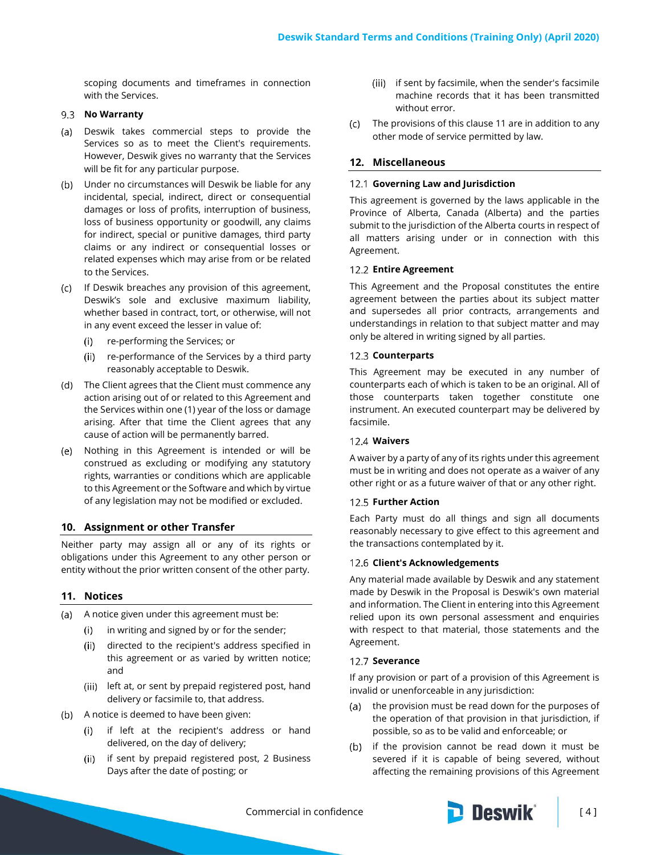scoping documents and timeframes in connection with the Services.

## 9.3 **No Warranty**

- (a) Deswik takes commercial steps to provide the Services so as to meet the Client's requirements. However, Deswik gives no warranty that the Services will be fit for any particular purpose.
- Under no circumstances will Deswik be liable for any incidental, special, indirect, direct or consequential damages or loss of profits, interruption of business, loss of business opportunity or goodwill, any claims for indirect, special or punitive damages, third party claims or any indirect or consequential losses or related expenses which may arise from or be related to the Services.
- If Deswik breaches any provision of this agreement, Deswik's sole and exclusive maximum liability, whether based in contract, tort, or otherwise, will not in any event exceed the lesser in value of:
	- re-performing the Services; or  $(i)$
	- (ii) re-performance of the Services by a third party reasonably acceptable to Deswik.
- (d) The Client agrees that the Client must commence any action arising out of or related to this Agreement and the Services within one (1) year of the loss or damage arising. After that time the Client agrees that any cause of action will be permanently barred.
- Nothing in this Agreement is intended or will be construed as excluding or modifying any statutory rights, warranties or conditions which are applicable to this Agreement or the Software and which by virtue of any legislation may not be modified or excluded.

# **10. Assignment or other Transfer**

Neither party may assign all or any of its rights or obligations under this Agreement to any other person or entity without the prior written consent of the other party.

# <span id="page-3-0"></span>**11. Notices**

- (a) A notice given under this agreement must be:
	- $(i)$ in writing and signed by or for the sender;
	- $(ii)$ directed to the recipient's address specified in this agreement or as varied by written notice; and
	- (iii) left at, or sent by prepaid registered post, hand delivery or facsimile to, that address.
- (b) A notice is deemed to have been given:
	- if left at the recipient's address or hand  $(i)$ delivered, on the day of delivery;
	- if sent by prepaid registered post, 2 Business  $(ii)$ Days after the date of posting; or
- (iii) if sent by facsimile, when the sender's facsimile machine records that it has been transmitted without error.
- The provisions of this clause [11](#page-3-0) are in addition to any other mode of service permitted by law.

# **12. Miscellaneous**

## **Governing Law and Jurisdiction**

This agreement is governed by the laws applicable in the Province of Alberta, Canada (Alberta) and the parties submit to the jurisdiction of the Alberta courts in respect of all matters arising under or in connection with this Agreement.

## **Entire Agreement**

This Agreement and the Proposal constitutes the entire agreement between the parties about its subject matter and supersedes all prior contracts, arrangements and understandings in relation to that subject matter and may only be altered in writing signed by all parties.

# 12.3 Counterparts

This Agreement may be executed in any number of counterparts each of which is taken to be an original. All of those counterparts taken together constitute one instrument. An executed counterpart may be delivered by facsimile.

# **Waivers**

A waiver by a party of any of its rights under this agreement must be in writing and does not operate as a waiver of any other right or as a future waiver of that or any other right.

# **Further Action**

Each Party must do all things and sign all documents reasonably necessary to give effect to this agreement and the transactions contemplated by it.

# **Client's Acknowledgements**

Any material made available by Deswik and any statement made by Deswik in the Proposal is Deswik's own material and information. The Client in entering into this Agreement relied upon its own personal assessment and enquiries with respect to that material, those statements and the Agreement.

# 12.7 Severance

If any provision or part of a provision of this Agreement is invalid or unenforceable in any jurisdiction:

- the provision must be read down for the purposes of  $(a)$ the operation of that provision in that jurisdiction, if possible, so as to be valid and enforceable; or
- if the provision cannot be read down it must be  $(b)$ severed if it is capable of being severed, without affecting the remaining provisions of this Agreement

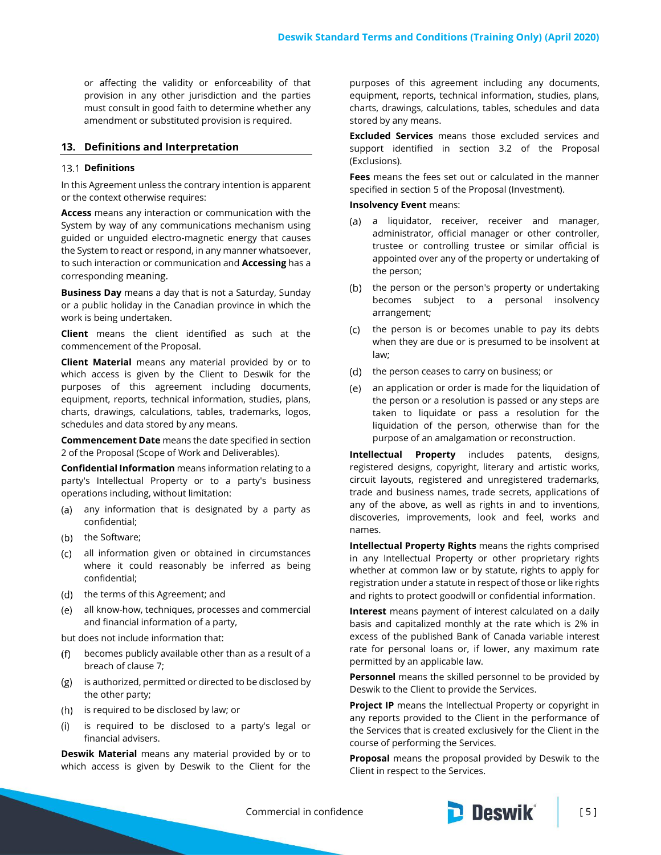or affecting the validity or enforceability of that provision in any other jurisdiction and the parties must consult in good faith to determine whether any amendment or substituted provision is required.

## **13. Definitions and Interpretation**

#### 13.1 Definitions

In this Agreement unless the contrary intention is apparent or the context otherwise requires:

**Access** means any interaction or communication with the System by way of any communications mechanism using guided or unguided electro-magnetic energy that causes the System to react or respond, in any manner whatsoever, to such interaction or communication and **Accessing** has a corresponding meaning.

**Business Day** means a day that is not a Saturday, Sunday or a public holiday in the Canadian province in which the work is being undertaken.

**Client** means the client identified as such at the commencement of the Proposal.

**Client Material** means any material provided by or to which access is given by the Client to Deswik for the purposes of this agreement including documents, equipment, reports, technical information, studies, plans, charts, drawings, calculations, tables, trademarks, logos, schedules and data stored by any means.

**Commencement Date** means the date specified in section 2 of the Proposal (Scope of Work and Deliverables).

**Confidential Information** means information relating to a party's Intellectual Property or to a party's business operations including, without limitation:

- (a) any information that is designated by a party as confidential;
- (b) the Software;
- all information given or obtained in circumstances where it could reasonably be inferred as being confidential;
- (d) the terms of this Agreement; and
- all know-how, techniques, processes and commercial and financial information of a party,

but does not include information that:

- becomes publicly available other than as a result of a breach of clause [7;](#page-2-0)
- (g) is authorized, permitted or directed to be disclosed by the other party;
- (h) is required to be disclosed by law; or
- $(i)$ is required to be disclosed to a party's legal or financial advisers.

**Deswik Material** means any material provided by or to which access is given by Deswik to the Client for the purposes of this agreement including any documents, equipment, reports, technical information, studies, plans, charts, drawings, calculations, tables, schedules and data stored by any means.

**Excluded Services** means those excluded services and support identified in section 3.2 of the Proposal (Exclusions).

**Fees** means the fees set out or calculated in the manner specified in section 5 of the Proposal (Investment).

#### **Insolvency Event** means:

- (a) a liquidator, receiver, receiver and manager, administrator, official manager or other controller, trustee or controlling trustee or similar official is appointed over any of the property or undertaking of the person;
- (b) the person or the person's property or undertaking becomes subject to a personal insolvency arrangement;
- (c) the person is or becomes unable to pay its debts when they are due or is presumed to be insolvent at law;
- (d) the person ceases to carry on business; or
- an application or order is made for the liquidation of the person or a resolution is passed or any steps are taken to liquidate or pass a resolution for the liquidation of the person, otherwise than for the purpose of an amalgamation or reconstruction.

**Intellectual Property** includes patents, designs, registered designs, copyright, literary and artistic works, circuit layouts, registered and unregistered trademarks, trade and business names, trade secrets, applications of any of the above, as well as rights in and to inventions, discoveries, improvements, look and feel, works and names.

**Intellectual Property Rights** means the rights comprised in any Intellectual Property or other proprietary rights whether at common law or by statute, rights to apply for registration under a statute in respect of those or like rights and rights to protect goodwill or confidential information.

**Interest** means payment of interest calculated on a daily basis and capitalized monthly at the rate which is 2% in excess of the published Bank of Canada variable interest rate for personal loans or, if lower, any maximum rate permitted by an applicable law.

**Personnel** means the skilled personnel to be provided by Deswik to the Client to provide the Services.

**Project IP** means the Intellectual Property or copyright in any reports provided to the Client in the performance of the Services that is created exclusively for the Client in the course of performing the Services.

**Proposal** means the proposal provided by Deswik to the Client in respect to the Services.